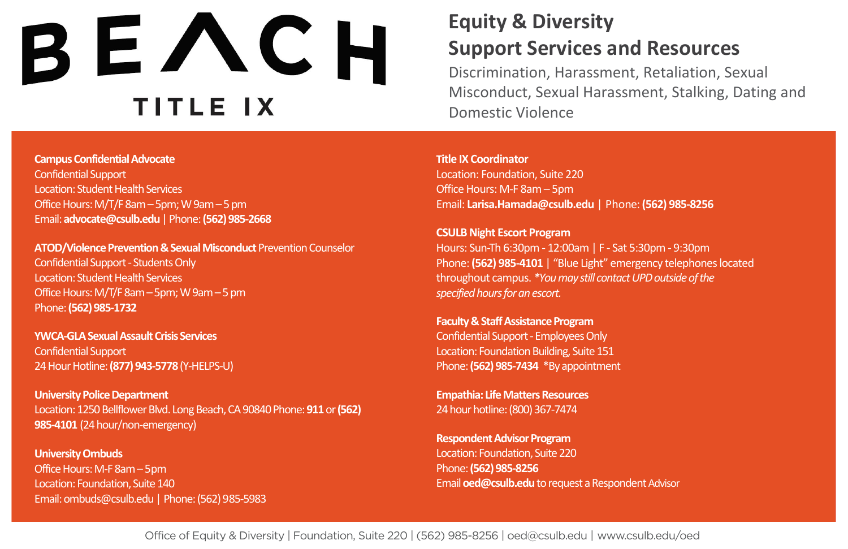## $B E \wedge C H$

**Campus Confidential Advocate**  Confidential Support Location: Student Health Services Office Hours: M/T/F 8am – 5pm; W 9am – 5 pm Email: **[advocate@csulb.edu](mailto:advocate@csulb.edu)** | Phone: **(562) 985-2668** 

**ATOD/Violence Prevention & Sexual Misconduct** Prevention Counselor Confidential Support - Students Only Location: Student Health Services Office Hours: M/T/F 8am – 5pm; W 9am – 5 pm Phone: **(562) 985-1732** 

**YWCA-GLA Sexual Assault Crisis Services**  Confidential Support 24 Hour Hotline: **(877) 943-5778** (Y-HELPS-U)

**University Police Department** Location: 1250 Bellflower Blvd. Long Beach, CA 90840 Phone: 911 or (562) **985-4101** (24 hour/non-emergency)

**University Ombuds**  Office Hours: M-F 8am – 5pm Location: Foundation, Suite 140 Email: ombuds@csulb.edu | Phone: (562) 985-5983

## **Equity & Diversity Support Services and Resources**

Discrimination, Harassment, Retaliation, Sexual Misconduct, Sexual Harassment, Stalking, Dating and Domestic Violence

**Title IX Coordinator**  Location: Foundation, Suite 220 Office Hours: M-F 8am – 5pm Email: **[Larisa.Hamada@csulb.edu](mailto:Larisa.Hamada@csulb.edu)** | Phone: **(562) 985-8256** 

**CSULB Night Escort Program**  Hours: Sun-Th 6:30pm - 12:00am | F - Sat 5:30pm - 9:30pm Phone: **(562) 985-4101** | "Blue Light" emergency telephones located throughout campus. *\*You may still contact UPD outside of the specified hours for an escort.* 

**Faculty & Staff Assistance Program**  Confidential Support - Employees Only Location: Foundation Building, Suite 151 Phone: **(562) 985-7434** \*By appointment

**Empathia: Life Matters Resources**  24 hour hotline: (800) 367-7474

**Respondent Advisor Program** Location: Foundation, Suite 220 Phone: **(562) 985-8256**  Email **[oed@csulb.edu](mailto:oed@csulb.edu)** to request a Respondent Advisor